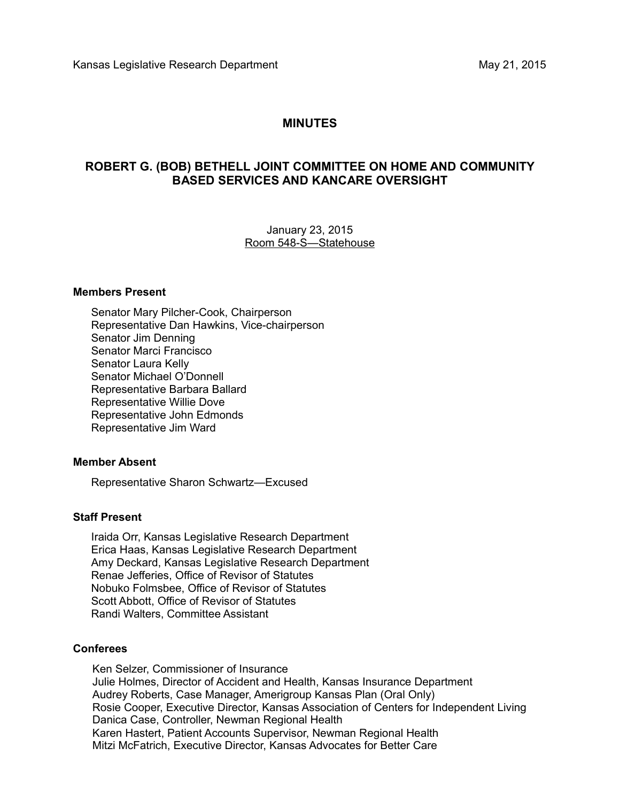# **MINUTES**

## **ROBERT G. (BOB) BETHELL JOINT COMMITTEE ON HOME AND COMMUNITY BASED SERVICES AND KANCARE OVERSIGHT**

January 23, 2015 Room 548-S—Statehouse

#### **Members Present**

Senator Mary Pilcher-Cook, Chairperson Representative Dan Hawkins, Vice-chairperson Senator Jim Denning Senator Marci Francisco Senator Laura Kelly Senator Michael O'Donnell Representative Barbara Ballard Representative Willie Dove Representative John Edmonds Representative Jim Ward

#### **Member Absent**

Representative Sharon Schwartz—Excused

#### **Staff Present**

Iraida Orr, Kansas Legislative Research Department Erica Haas, Kansas Legislative Research Department Amy Deckard, Kansas Legislative Research Department Renae Jefferies, Office of Revisor of Statutes Nobuko Folmsbee, Office of Revisor of Statutes Scott Abbott, Office of Revisor of Statutes Randi Walters, Committee Assistant

### **Conferees**

Ken Selzer, Commissioner of Insurance Julie Holmes, Director of Accident and Health, Kansas Insurance Department Audrey Roberts, Case Manager, Amerigroup Kansas Plan (Oral Only) Rosie Cooper, Executive Director, Kansas Association of Centers for Independent Living Danica Case, Controller, Newman Regional Health Karen Hastert, Patient Accounts Supervisor, Newman Regional Health Mitzi McFatrich, Executive Director, Kansas Advocates for Better Care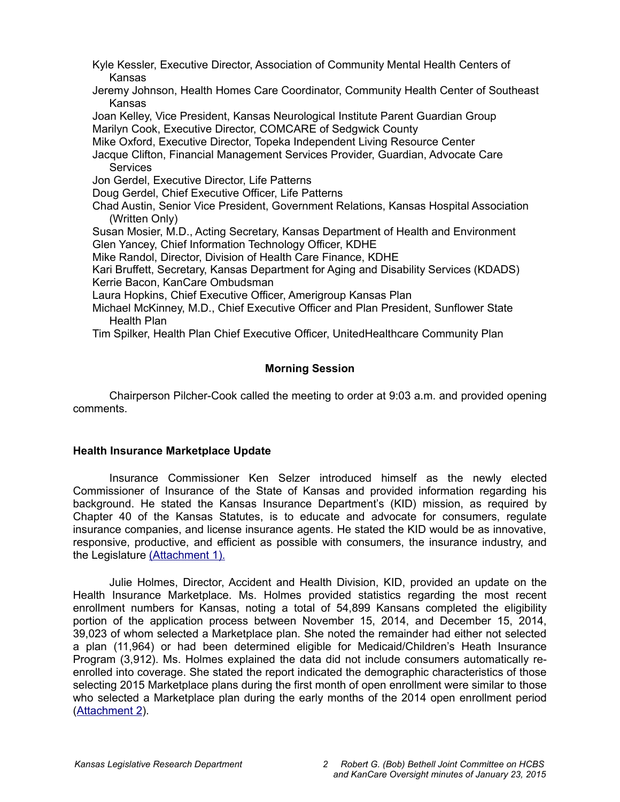Kyle Kessler, Executive Director, Association of Community Mental Health Centers of Kansas

Jeremy Johnson, Health Homes Care Coordinator, Community Health Center of Southeast Kansas

Joan Kelley, Vice President, Kansas Neurological Institute Parent Guardian Group Marilyn Cook, Executive Director, COMCARE of Sedgwick County

Mike Oxford, Executive Director, Topeka Independent Living Resource Center

Jacque Clifton, Financial Management Services Provider, Guardian, Advocate Care **Services** 

Jon Gerdel, Executive Director, Life Patterns

Doug Gerdel, Chief Executive Officer, Life Patterns

Chad Austin, Senior Vice President, Government Relations, Kansas Hospital Association (Written Only)

Susan Mosier, M.D., Acting Secretary, Kansas Department of Health and Environment Glen Yancey, Chief Information Technology Officer, KDHE

Mike Randol, Director, Division of Health Care Finance, KDHE

Kari Bruffett, Secretary, Kansas Department for Aging and Disability Services (KDADS) Kerrie Bacon, KanCare Ombudsman

Laura Hopkins, Chief Executive Officer, Amerigroup Kansas Plan

Michael McKinney, M.D., Chief Executive Officer and Plan President, Sunflower State Health Plan

Tim Spilker, Health Plan Chief Executive Officer, UnitedHealthcare Community Plan

## **Morning Session**

Chairperson Pilcher-Cook called the meeting to order at 9:03 a.m. and provided opening comments.

#### **Health Insurance Marketplace Update**

Insurance Commissioner Ken Selzer introduced himself as the newly elected Commissioner of Insurance of the State of Kansas and provided information regarding his background. He stated the Kansas Insurance Department's (KID) mission, as required by Chapter 40 of the Kansas Statutes, is to educate and advocate for consumers, regulate insurance companies, and license insurance agents. He stated the KID would be as innovative, responsive, productive, and efficient as possible with consumers, the insurance industry, and the Legislature [\(Attachment 1\).](http://li.kliss.loc/li/b2015_16/committees/ctte_jt_robert_g_bob_bethell_joint_committee_1/documents/testimony/20150123_01.pdf)

Julie Holmes, Director, Accident and Health Division, KID, provided an update on the Health Insurance Marketplace. Ms. Holmes provided statistics regarding the most recent enrollment numbers for Kansas, noting a total of 54,899 Kansans completed the eligibility portion of the application process between November 15, 2014, and December 15, 2014, 39,023 of whom selected a Marketplace plan. She noted the remainder had either not selected a plan (11,964) or had been determined eligible for Medicaid/Children's Heath Insurance Program (3,912). Ms. Holmes explained the data did not include consumers automatically reenrolled into coverage. She stated the report indicated the demographic characteristics of those selecting 2015 Marketplace plans during the first month of open enrollment were similar to those who selected a Marketplace plan during the early months of the 2014 open enrollment period [\(Attachment 2\)](http://li.kliss.loc/li/b2015_16/committees/ctte_jt_robert_g_bob_bethell_joint_committee_1/documents/testimony/20150123_02.pdf).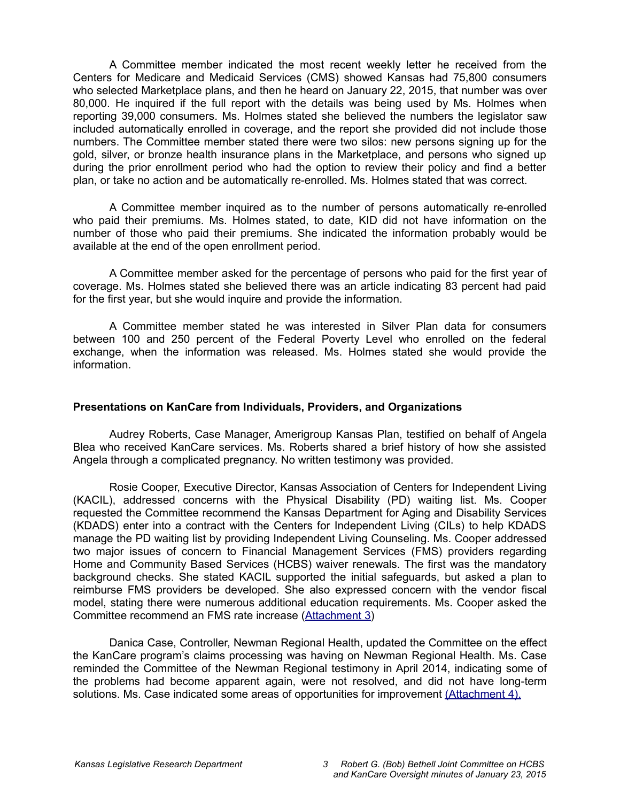A Committee member indicated the most recent weekly letter he received from the Centers for Medicare and Medicaid Services (CMS) showed Kansas had 75,800 consumers who selected Marketplace plans, and then he heard on January 22, 2015, that number was over 80,000. He inquired if the full report with the details was being used by Ms. Holmes when reporting 39,000 consumers. Ms. Holmes stated she believed the numbers the legislator saw included automatically enrolled in coverage, and the report she provided did not include those numbers. The Committee member stated there were two silos: new persons signing up for the gold, silver, or bronze health insurance plans in the Marketplace, and persons who signed up during the prior enrollment period who had the option to review their policy and find a better plan, or take no action and be automatically re-enrolled. Ms. Holmes stated that was correct.

A Committee member inquired as to the number of persons automatically re-enrolled who paid their premiums. Ms. Holmes stated, to date, KID did not have information on the number of those who paid their premiums. She indicated the information probably would be available at the end of the open enrollment period.

A Committee member asked for the percentage of persons who paid for the first year of coverage. Ms. Holmes stated she believed there was an article indicating 83 percent had paid for the first year, but she would inquire and provide the information.

A Committee member stated he was interested in Silver Plan data for consumers between 100 and 250 percent of the Federal Poverty Level who enrolled on the federal exchange, when the information was released. Ms. Holmes stated she would provide the information.

#### **Presentations on KanCare from Individuals, Providers, and Organizations**

Audrey Roberts, Case Manager, Amerigroup Kansas Plan, testified on behalf of Angela Blea who received KanCare services. Ms. Roberts shared a brief history of how she assisted Angela through a complicated pregnancy. No written testimony was provided.

Rosie Cooper, Executive Director, Kansas Association of Centers for Independent Living (KACIL), addressed concerns with the Physical Disability (PD) waiting list. Ms. Cooper requested the Committee recommend the Kansas Department for Aging and Disability Services (KDADS) enter into a contract with the Centers for Independent Living (CILs) to help KDADS manage the PD waiting list by providing Independent Living Counseling. Ms. Cooper addressed two major issues of concern to Financial Management Services (FMS) providers regarding Home and Community Based Services (HCBS) waiver renewals. The first was the mandatory background checks. She stated KACIL supported the initial safeguards, but asked a plan to reimburse FMS providers be developed. She also expressed concern with the vendor fiscal model, stating there were numerous additional education requirements. Ms. Cooper asked the Committee recommend an FMS rate increase [\(Attachment 3\)](http://li.kliss.loc/li/b2015_16/committees/ctte_jt_robert_g_bob_bethell_joint_committee_1/documents/testimony/20150123_03.pdf)

Danica Case, Controller, Newman Regional Health, updated the Committee on the effect the KanCare program's claims processing was having on Newman Regional Health. Ms. Case reminded the Committee of the Newman Regional testimony in April 2014, indicating some of the problems had become apparent again, were not resolved, and did not have long-term solutions. Ms. Case indicated some areas of opportunities for improvement [\(Attachment 4\)](http://li.kliss.loc/li/b2015_16/committees/ctte_jt_robert_g_bob_bethell_joint_committee_1/documents/testimony/20150123_07.pdf)[.](http://cs.kliss.loc/cs/download_wrapped_file/other_committees/ctte_jt_robert_g_bob_bethell_joint_committee_1/testimony/.uploads/ctte_jt_robert_g_bob_bethell_joint_committee_1_20150123_07_testimony.html)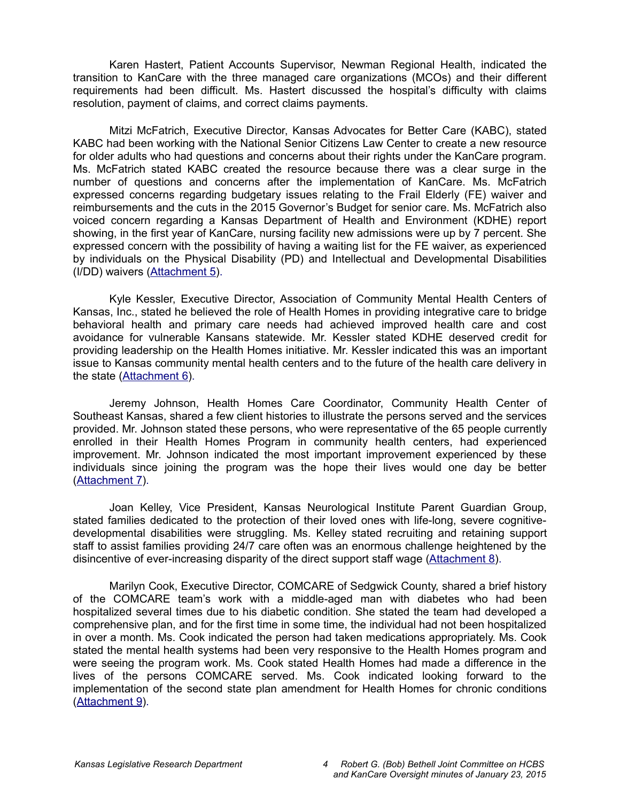Karen Hastert, Patient Accounts Supervisor, Newman Regional Health, indicated the transition to KanCare with the three managed care organizations (MCOs) and their different requirements had been difficult. Ms. Hastert discussed the hospital's difficulty with claims resolution, payment of claims, and correct claims payments.

Mitzi McFatrich, Executive Director, Kansas Advocates for Better Care (KABC), stated KABC had been working with the National Senior Citizens Law Center to create a new resource for older adults who had questions and concerns about their rights under the KanCare program. Ms. McFatrich stated KABC created the resource because there was a clear surge in the number of questions and concerns after the implementation of KanCare. Ms. McFatrich expressed concerns regarding budgetary issues relating to the Frail Elderly (FE) waiver and reimbursements and the cuts in the 2015 Governor's Budget for senior care. Ms. McFatrich also voiced concern regarding a Kansas Department of Health and Environment (KDHE) report showing, in the first year of KanCare, nursing facility new admissions were up by 7 percent. She expressed concern with the possibility of having a waiting list for the FE waiver, as experienced by individuals on the Physical Disability (PD) and Intellectual and Developmental Disabilities (I/DD) waivers [\(Attachment 5](http://li.kliss.loc/li/b2015_16/committees/ctte_jt_robert_g_bob_bethell_joint_committee_1/documents/testimony/20150123_05.pdf)[\).](http://cs.kliss.loc/cs/download_wrapped_file/other_committees/ctte_jt_robert_g_bob_bethell_joint_committee_1/testimony/.uploads/ctte_jt_robert_g_bob_bethell_joint_committee_1_20150123_05_testimony.html)

Kyle Kessler, Executive Director, Association of Community Mental Health Centers of Kansas, Inc., stated he believed the role of Health Homes in providing integrative care to bridge behavioral health and primary care needs had achieved improved health care and cost avoidance for vulnerable Kansans statewide. Mr. Kessler stated KDHE deserved credit for providing leadership on the Health Homes initiative. Mr. Kessler indicated this was an important issue to Kansas community mental health centers and to the future of the health care delivery in the state [\(Attachment 6\)](http://li.kliss.loc/li/b2015_16/committees/ctte_jt_robert_g_bob_bethell_joint_committee_1/documents/testimony/20150123_06.pdf)[.](http://cs.kliss.loc/cs/download_wrapped_file/other_committees/ctte_jt_robert_g_bob_bethell_joint_committee_1/testimony/.uploads/ctte_jt_robert_g_bob_bethell_joint_committee_1_20150123_06_testimony.html)

Jeremy Johnson, Health Homes Care Coordinator, Community Health Center of Southeast Kansas, shared a few client histories to illustrate the persons served and the services provided. Mr. Johnson stated these persons, who were representative of the 65 people currently enrolled in their Health Homes Program in community health centers, had experienced improvement. Mr. Johnson indicated the most important improvement experienced by these individuals since joining the program was the hope their lives would one day be better [\(Attachment 7](http://li.kliss.loc/li/b2015_16/committees/ctte_jt_robert_g_bob_bethell_joint_committee_1/documents/testimony/20150123_08.pdf)[\).](http://cs.kliss.loc/cs/download_wrapped_file/other_committees/ctte_jt_robert_g_bob_bethell_joint_committee_1/testimony/.uploads/ctte_jt_robert_g_bob_bethell_joint_committee_1_20150123_08_testimony.html)

Joan Kelley, Vice President, Kansas Neurological Institute Parent Guardian Group, stated families dedicated to the protection of their loved ones with life-long, severe cognitivedevelopmental disabilities were struggling. Ms. Kelley stated recruiting and retaining support staff to assist families providing 24/7 care often was an enormous challenge heightened by the disincentive of ever-increasing disparity of the direct support staff wage [\(Attachment 8\)](http://li.kliss.loc/li/b2015_16/committees/ctte_jt_robert_g_bob_bethell_joint_committee_1/documents/testimony/20150123_09.pdf)[.](http://cs.kliss.loc/cs/download_wrapped_file/other_committees/ctte_jt_robert_g_bob_bethell_joint_committee_1/testimony/.uploads/ctte_jt_robert_g_bob_bethell_joint_committee_1_20150123_09_testimony.html)

Marilyn Cook, Executive Director, COMCARE of Sedgwick County, shared a brief history of the COMCARE team's work with a middle-aged man with diabetes who had been hospitalized several times due to his diabetic condition. She stated the team had developed a comprehensive plan, and for the first time in some time, the individual had not been hospitalized in over a month. Ms. Cook indicated the person had taken medications appropriately. Ms. Cook stated the mental health systems had been very responsive to the Health Homes program and were seeing the program work. Ms. Cook stated Health Homes had made a difference in the lives of the persons COMCARE served. Ms. Cook indicated looking forward to the implementation of the second state plan amendment for Health Homes for chronic conditions [\(Attachment 9](http://li.kliss.loc/li/b2015_16/committees/ctte_jt_robert_g_bob_bethell_joint_committee_1/documents/testimony/20150123_10.pdf)[\).](http://cs.kliss.loc/cs/download_wrapped_file/other_committees/ctte_jt_robert_g_bob_bethell_joint_committee_1/testimony/.uploads/ctte_jt_robert_g_bob_bethell_joint_committee_1_20150123_10_testimony.html)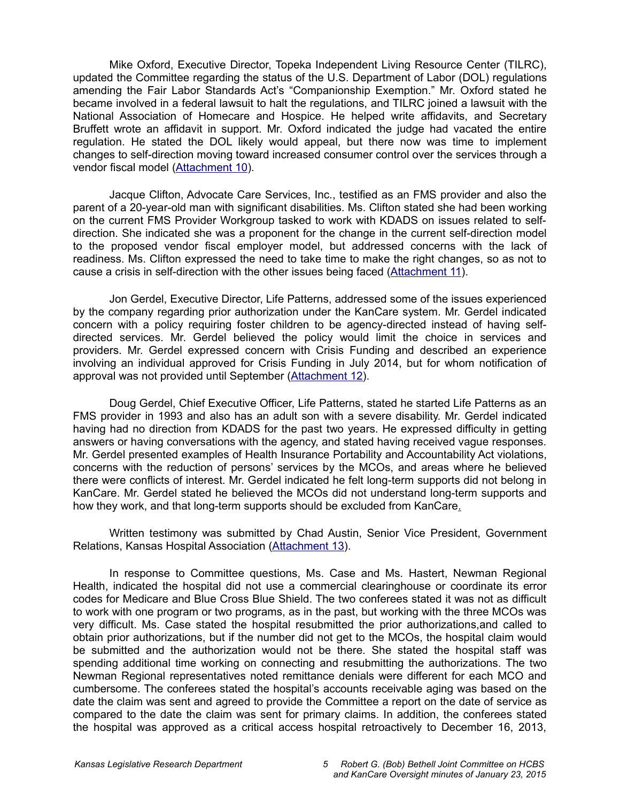Mike Oxford, Executive Director, Topeka Independent Living Resource Center (TILRC), updated the Committee regarding the status of the U.S. Department of Labor (DOL) regulations amending the Fair Labor Standards Act's "Companionship Exemption." Mr. Oxford stated he became involved in a federal lawsuit to halt the regulations, and TILRC joined a lawsuit with the National Association of Homecare and Hospice. He helped write affidavits, and Secretary Bruffett wrote an affidavit in support. Mr. Oxford indicated the judge had vacated the entire regulation. He stated the DOL likely would appeal, but there now was time to implement changes to self-direction moving toward increased consumer control over the services through a vendor fiscal model [\(Attachment 10](http://li.kliss.loc/li/b2015_16/committees/ctte_jt_robert_g_bob_bethell_joint_committee_1/documents/testimony/20150123_11.pdf)[\).](http://cs.kliss.loc/cs/download_wrapped_file/other_committees/ctte_jt_robert_g_bob_bethell_joint_committee_1/testimony/.uploads/ctte_jt_robert_g_bob_bethell_joint_committee_1_20150123_11_testimony.html)

Jacque Clifton, Advocate Care Services, Inc., testified as an FMS provider and also the parent of a 20-year-old man with significant disabilities. Ms. Clifton stated she had been working on the current FMS Provider Workgroup tasked to work with KDADS on issues related to selfdirection. She indicated she was a proponent for the change in the current self-direction model to the proposed vendor fiscal employer model, but addressed concerns with the lack of readiness. Ms. Clifton expressed the need to take time to make the right changes, so as not to cause a crisis in self-direction with the other issues being faced [\(Attachment 11\)](http://li.kliss.loc/li/b2015_16/committees/ctte_jt_robert_g_bob_bethell_joint_committee_1/documents/testimony/20150123_12.pdf)[.](http://cs.kliss.loc/cs/download_wrapped_file/other_committees/ctte_jt_robert_g_bob_bethell_joint_committee_1/testimony/.uploads/ctte_jt_robert_g_bob_bethell_joint_committee_1_20150123_12_testimony.html)

Jon Gerdel, Executive Director, Life Patterns, addressed some of the issues experienced by the company regarding prior authorization under the KanCare system. Mr. Gerdel indicated concern with a policy requiring foster children to be agency-directed instead of having selfdirected services. Mr. Gerdel believed the policy would limit the choice in services and providers. Mr. Gerdel expressed concern with Crisis Funding and described an experience involving an individual approved for Crisis Funding in July 2014, but for whom notification of approval was not provided until September [\(Attachment 12](http://li.kliss.loc/li/b2015_16/committees/ctte_jt_robert_g_bob_bethell_joint_committee_1/documents/testimony/20150123_13.pdf)[\).](http://cs.kliss.loc/cs/download_wrapped_file/other_committees/ctte_jt_robert_g_bob_bethell_joint_committee_1/testimony/.uploads/ctte_jt_robert_g_bob_bethell_joint_committee_1_20150123_13_testimony.html)

Doug Gerdel, Chief Executive Officer, Life Patterns, stated he started Life Patterns as an FMS provider in 1993 and also has an adult son with a severe disability. Mr. Gerdel indicated having had no direction from KDADS for the past two years. He expressed difficulty in getting answers or having conversations with the agency, and stated having received vague responses. Mr. Gerdel presented examples of Health Insurance Portability and Accountability Act violations, concerns with the reduction of persons' services by the MCOs, and areas where he believed there were conflicts of interest. Mr. Gerdel indicated he felt long-term supports did not belong in KanCare. Mr. Gerdel stated he believed the MCOs did not understand long-term supports and how they work, and that long-term supports should be excluded from KanCar[e.](http://cs.kliss.loc/cs/download_wrapped_file/other_committees/ctte_jt_robert_g_bob_bethell_joint_committee_1/testimony/.uploads/ctte_jt_robert_g_bob_bethell_joint_committee_1_20150123_13_testimony.html)

Written testimony was submitted by Chad Austin, Senior Vice President, Government Relations, Kansas Hospital Association [\(Attachment 13\)](http://li.kliss.loc/li/b2015_16/committees/ctte_jt_robert_g_bob_bethell_joint_committee_1/documents/testimony/20150123_14.pdf)[.](http://cs.kliss.loc/cs/download_wrapped_file/other_committees/ctte_jt_robert_g_bob_bethell_joint_committee_1/testimony/.uploads/ctte_jt_robert_g_bob_bethell_joint_committee_1_20150123_14_testimony.html)

In response to Committee questions, Ms. Case and Ms. Hastert, Newman Regional Health, indicated the hospital did not use a commercial clearinghouse or coordinate its error codes for Medicare and Blue Cross Blue Shield. The two conferees stated it was not as difficult to work with one program or two programs, as in the past, but working with the three MCOs was very difficult. Ms. Case stated the hospital resubmitted the prior authorizations,and called to obtain prior authorizations, but if the number did not get to the MCOs, the hospital claim would be submitted and the authorization would not be there. She stated the hospital staff was spending additional time working on connecting and resubmitting the authorizations. The two Newman Regional representatives noted remittance denials were different for each MCO and cumbersome. The conferees stated the hospital's accounts receivable aging was based on the date the claim was sent and agreed to provide the Committee a report on the date of service as compared to the date the claim was sent for primary claims. In addition, the conferees stated the hospital was approved as a critical access hospital retroactively to December 16, 2013,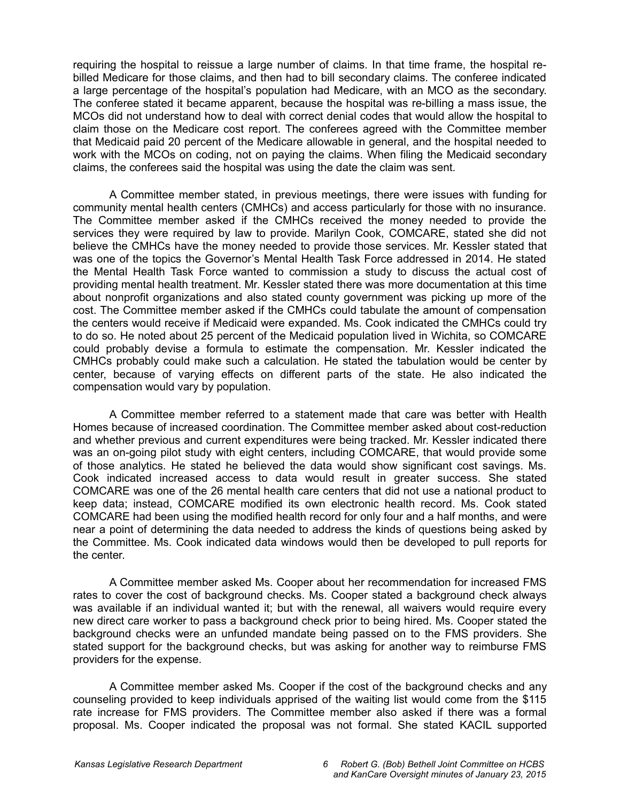requiring the hospital to reissue a large number of claims. In that time frame, the hospital rebilled Medicare for those claims, and then had to bill secondary claims. The conferee indicated a large percentage of the hospital's population had Medicare, with an MCO as the secondary. The conferee stated it became apparent, because the hospital was re-billing a mass issue, the MCOs did not understand how to deal with correct denial codes that would allow the hospital to claim those on the Medicare cost report. The conferees agreed with the Committee member that Medicaid paid 20 percent of the Medicare allowable in general, and the hospital needed to work with the MCOs on coding, not on paying the claims. When filing the Medicaid secondary claims, the conferees said the hospital was using the date the claim was sent.

A Committee member stated, in previous meetings, there were issues with funding for community mental health centers (CMHCs) and access particularly for those with no insurance. The Committee member asked if the CMHCs received the money needed to provide the services they were required by law to provide. Marilyn Cook, COMCARE, stated she did not believe the CMHCs have the money needed to provide those services. Mr. Kessler stated that was one of the topics the Governor's Mental Health Task Force addressed in 2014. He stated the Mental Health Task Force wanted to commission a study to discuss the actual cost of providing mental health treatment. Mr. Kessler stated there was more documentation at this time about nonprofit organizations and also stated county government was picking up more of the cost. The Committee member asked if the CMHCs could tabulate the amount of compensation the centers would receive if Medicaid were expanded. Ms. Cook indicated the CMHCs could try to do so. He noted about 25 percent of the Medicaid population lived in Wichita, so COMCARE could probably devise a formula to estimate the compensation. Mr. Kessler indicated the CMHCs probably could make such a calculation. He stated the tabulation would be center by center, because of varying effects on different parts of the state. He also indicated the compensation would vary by population.

A Committee member referred to a statement made that care was better with Health Homes because of increased coordination. The Committee member asked about cost-reduction and whether previous and current expenditures were being tracked. Mr. Kessler indicated there was an on-going pilot study with eight centers, including COMCARE, that would provide some of those analytics. He stated he believed the data would show significant cost savings. Ms. Cook indicated increased access to data would result in greater success. She stated COMCARE was one of the 26 mental health care centers that did not use a national product to keep data; instead, COMCARE modified its own electronic health record. Ms. Cook stated COMCARE had been using the modified health record for only four and a half months, and were near a point of determining the data needed to address the kinds of questions being asked by the Committee. Ms. Cook indicated data windows would then be developed to pull reports for the center.

A Committee member asked Ms. Cooper about her recommendation for increased FMS rates to cover the cost of background checks. Ms. Cooper stated a background check always was available if an individual wanted it; but with the renewal, all waivers would require every new direct care worker to pass a background check prior to being hired. Ms. Cooper stated the background checks were an unfunded mandate being passed on to the FMS providers. She stated support for the background checks, but was asking for another way to reimburse FMS providers for the expense.

A Committee member asked Ms. Cooper if the cost of the background checks and any counseling provided to keep individuals apprised of the waiting list would come from the \$115 rate increase for FMS providers. The Committee member also asked if there was a formal proposal. Ms. Cooper indicated the proposal was not formal. She stated KACIL supported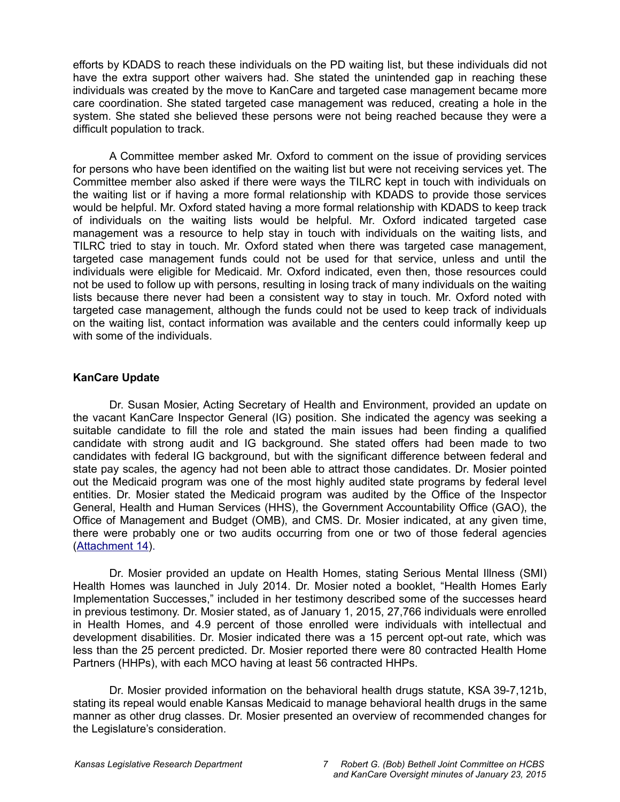efforts by KDADS to reach these individuals on the PD waiting list, but these individuals did not have the extra support other waivers had. She stated the unintended gap in reaching these individuals was created by the move to KanCare and targeted case management became more care coordination. She stated targeted case management was reduced, creating a hole in the system. She stated she believed these persons were not being reached because they were a difficult population to track.

A Committee member asked Mr. Oxford to comment on the issue of providing services for persons who have been identified on the waiting list but were not receiving services yet. The Committee member also asked if there were ways the TILRC kept in touch with individuals on the waiting list or if having a more formal relationship with KDADS to provide those services would be helpful. Mr. Oxford stated having a more formal relationship with KDADS to keep track of individuals on the waiting lists would be helpful. Mr. Oxford indicated targeted case management was a resource to help stay in touch with individuals on the waiting lists, and TILRC tried to stay in touch. Mr. Oxford stated when there was targeted case management, targeted case management funds could not be used for that service, unless and until the individuals were eligible for Medicaid. Mr. Oxford indicated, even then, those resources could not be used to follow up with persons, resulting in losing track of many individuals on the waiting lists because there never had been a consistent way to stay in touch. Mr. Oxford noted with targeted case management, although the funds could not be used to keep track of individuals on the waiting list, contact information was available and the centers could informally keep up with some of the individuals.

### **KanCare Update**

Dr. Susan Mosier, Acting Secretary of Health and Environment, provided an update on the vacant KanCare Inspector General (IG) position. She indicated the agency was seeking a suitable candidate to fill the role and stated the main issues had been finding a qualified candidate with strong audit and IG background. She stated offers had been made to two candidates with federal IG background, but with the significant difference between federal and state pay scales, the agency had not been able to attract those candidates. Dr. Mosier pointed out the Medicaid program was one of the most highly audited state programs by federal level entities. Dr. Mosier stated the Medicaid program was audited by the Office of the Inspector General, Health and Human Services (HHS), the Government Accountability Office (GAO), the Office of Management and Budget (OMB), and CMS. Dr. Mosier indicated, at any given time, there were probably one or two audits occurring from one or two of those federal agencies [\(Attachment 14](http://li.kliss.loc/li/b2015_16/committees/ctte_jt_robert_g_bob_bethell_joint_committee_1/documents/testimony/20150123_21.pdf)[\).](http://cs.kliss.loc/cs/download_wrapped_file/other_committees/ctte_jt_robert_g_bob_bethell_joint_committee_1/testimony/.uploads/ctte_jt_robert_g_bob_bethell_joint_committee_1_20150123_21_testimony.html)

Dr. Mosier provided an update on Health Homes, stating Serious Mental Illness (SMI) Health Homes was launched in July 2014. Dr. Mosier noted a booklet, "Health Homes Early Implementation Successes," included in her testimony described some of the successes heard in previous testimony. Dr. Mosier stated, as of January 1, 2015, 27,766 individuals were enrolled in Health Homes, and 4.9 percent of those enrolled were individuals with intellectual and development disabilities. Dr. Mosier indicated there was a 15 percent opt-out rate, which was less than the 25 percent predicted. Dr. Mosier reported there were 80 contracted Health Home Partners (HHPs), with each MCO having at least 56 contracted HHPs.

Dr. Mosier provided information on the behavioral health drugs statute, KSA 39-7,121b, stating its repeal would enable Kansas Medicaid to manage behavioral health drugs in the same manner as other drug classes. Dr. Mosier presented an overview of recommended changes for the Legislature's consideration.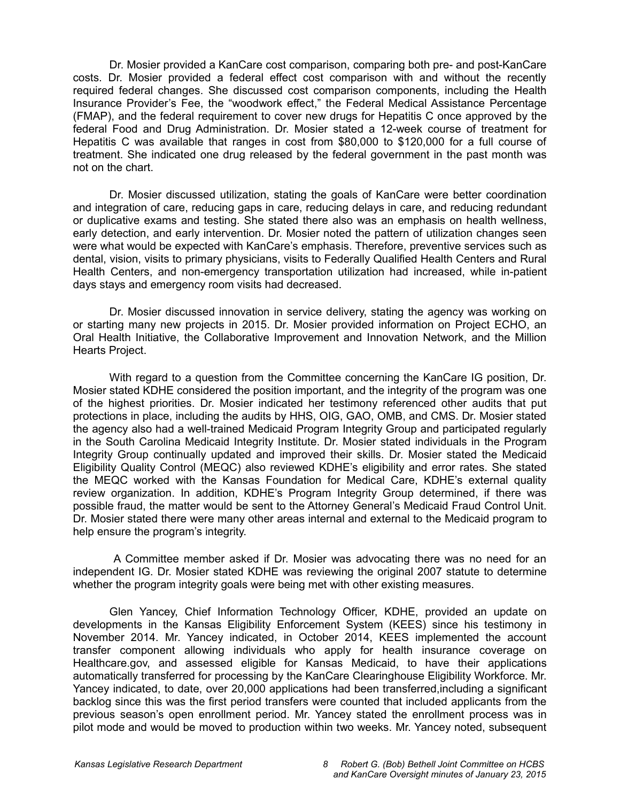Dr. Mosier provided a KanCare cost comparison, comparing both pre- and post-KanCare costs. Dr. Mosier provided a federal effect cost comparison with and without the recently required federal changes. She discussed cost comparison components, including the Health Insurance Provider's Fee, the "woodwork effect," the Federal Medical Assistance Percentage (FMAP), and the federal requirement to cover new drugs for Hepatitis C once approved by the federal Food and Drug Administration. Dr. Mosier stated a 12-week course of treatment for Hepatitis C was available that ranges in cost from \$80,000 to \$120,000 for a full course of treatment. She indicated one drug released by the federal government in the past month was not on the chart.

Dr. Mosier discussed utilization, stating the goals of KanCare were better coordination and integration of care, reducing gaps in care, reducing delays in care, and reducing redundant or duplicative exams and testing. She stated there also was an emphasis on health wellness, early detection, and early intervention. Dr. Mosier noted the pattern of utilization changes seen were what would be expected with KanCare's emphasis. Therefore, preventive services such as dental, vision, visits to primary physicians, visits to Federally Qualified Health Centers and Rural Health Centers, and non-emergency transportation utilization had increased, while in-patient days stays and emergency room visits had decreased.

Dr. Mosier discussed innovation in service delivery, stating the agency was working on or starting many new projects in 2015. Dr. Mosier provided information on Project ECHO, an Oral Health Initiative, the Collaborative Improvement and Innovation Network, and the Million Hearts Project.

With regard to a question from the Committee concerning the KanCare IG position, Dr. Mosier stated KDHE considered the position important, and the integrity of the program was one of the highest priorities. Dr. Mosier indicated her testimony referenced other audits that put protections in place, including the audits by HHS, OIG, GAO, OMB, and CMS. Dr. Mosier stated the agency also had a well-trained Medicaid Program Integrity Group and participated regularly in the South Carolina Medicaid Integrity Institute. Dr. Mosier stated individuals in the Program Integrity Group continually updated and improved their skills. Dr. Mosier stated the Medicaid Eligibility Quality Control (MEQC) also reviewed KDHE's eligibility and error rates. She stated the MEQC worked with the Kansas Foundation for Medical Care, KDHE's external quality review organization. In addition, KDHE's Program Integrity Group determined, if there was possible fraud, the matter would be sent to the Attorney General's Medicaid Fraud Control Unit. Dr. Mosier stated there were many other areas internal and external to the Medicaid program to help ensure the program's integrity.

 A Committee member asked if Dr. Mosier was advocating there was no need for an independent IG. Dr. Mosier stated KDHE was reviewing the original 2007 statute to determine whether the program integrity goals were being met with other existing measures.

Glen Yancey, Chief Information Technology Officer, KDHE, provided an update on developments in the Kansas Eligibility Enforcement System (KEES) since his testimony in November 2014. Mr. Yancey indicated, in October 2014, KEES implemented the account transfer component allowing individuals who apply for health insurance coverage on Healthcare.gov, and assessed eligible for Kansas Medicaid, to have their applications automatically transferred for processing by the KanCare Clearinghouse Eligibility Workforce. Mr. Yancey indicated, to date, over 20,000 applications had been transferred,including a significant backlog since this was the first period transfers were counted that included applicants from the previous season's open enrollment period. Mr. Yancey stated the enrollment process was in pilot mode and would be moved to production within two weeks. Mr. Yancey noted, subsequent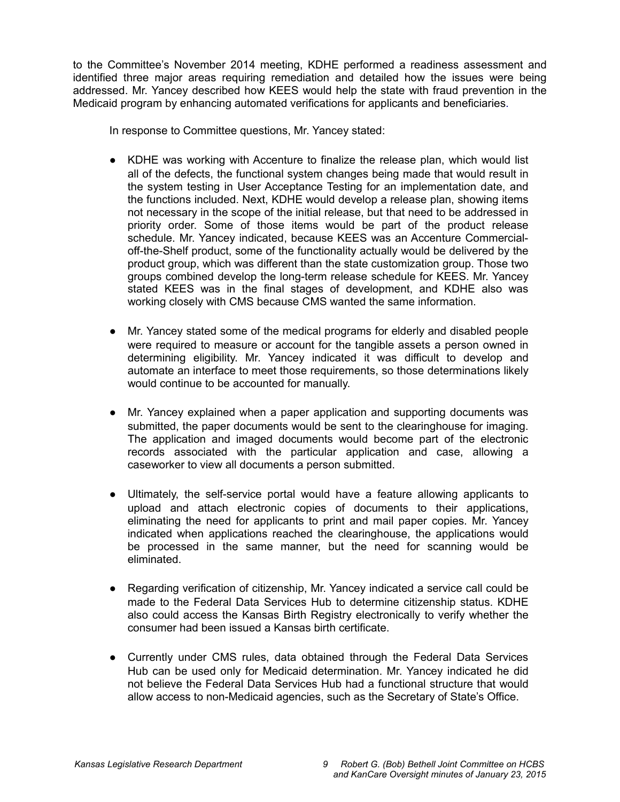to the Committee's November 2014 meeting, KDHE performed a readiness assessment and identified three major areas requiring remediation and detailed how the issues were being addressed. Mr. Yancey described how KEES would help the state with fraud prevention in the Medicaid program by enhancing automated verifications for applicants and beneficiarie[s.](http://cs.kliss.loc/cs/download_wrapped_file/other_committees/ctte_jt_robert_g_bob_bethell_joint_committee_1/testimony/.uploads/ctte_jt_robert_g_bob_bethell_joint_committee_1_20150123_21_testimony.html)

In response to Committee questions, Mr. Yancey stated:

- KDHE was working with Accenture to finalize the release plan, which would list all of the defects, the functional system changes being made that would result in the system testing in User Acceptance Testing for an implementation date, and the functions included. Next, KDHE would develop a release plan, showing items not necessary in the scope of the initial release, but that need to be addressed in priority order. Some of those items would be part of the product release schedule. Mr. Yancey indicated, because KEES was an Accenture Commercialoff-the-Shelf product, some of the functionality actually would be delivered by the product group, which was different than the state customization group. Those two groups combined develop the long-term release schedule for KEES. Mr. Yancey stated KEES was in the final stages of development, and KDHE also was working closely with CMS because CMS wanted the same information.
- Mr. Yancey stated some of the medical programs for elderly and disabled people were required to measure or account for the tangible assets a person owned in determining eligibility. Mr. Yancey indicated it was difficult to develop and automate an interface to meet those requirements, so those determinations likely would continue to be accounted for manually.
- Mr. Yancey explained when a paper application and supporting documents was submitted, the paper documents would be sent to the clearinghouse for imaging. The application and imaged documents would become part of the electronic records associated with the particular application and case, allowing a caseworker to view all documents a person submitted.
- Ultimately, the self-service portal would have a feature allowing applicants to upload and attach electronic copies of documents to their applications, eliminating the need for applicants to print and mail paper copies. Mr. Yancey indicated when applications reached the clearinghouse, the applications would be processed in the same manner, but the need for scanning would be eliminated.
- Regarding verification of citizenship, Mr. Yancey indicated a service call could be made to the Federal Data Services Hub to determine citizenship status. KDHE also could access the Kansas Birth Registry electronically to verify whether the consumer had been issued a Kansas birth certificate.
- Currently under CMS rules, data obtained through the Federal Data Services Hub can be used only for Medicaid determination. Mr. Yancey indicated he did not believe the Federal Data Services Hub had a functional structure that would allow access to non-Medicaid agencies, such as the Secretary of State's Office.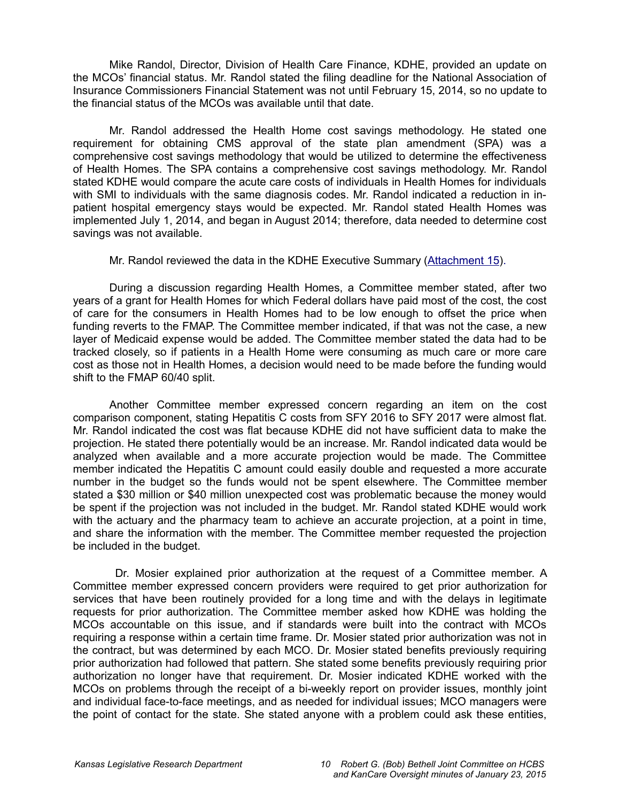Mike Randol, Director, Division of Health Care Finance, KDHE, provided an update on the MCOs' financial status. Mr. Randol stated the filing deadline for the National Association of Insurance Commissioners Financial Statement was not until February 15, 2014, so no update to the financial status of the MCOs was available until that date.

Mr. Randol addressed the Health Home cost savings methodology. He stated one requirement for obtaining CMS approval of the state plan amendment (SPA) was a comprehensive cost savings methodology that would be utilized to determine the effectiveness of Health Homes. The SPA contains a comprehensive cost savings methodology. Mr. Randol stated KDHE would compare the acute care costs of individuals in Health Homes for individuals with SMI to individuals with the same diagnosis codes. Mr. Randol indicated a reduction in inpatient hospital emergency stays would be expected. Mr. Randol stated Health Homes was implemented July 1, 2014, and began in August 2014; therefore, data needed to determine cost savings was not available.

Mr. Randol reviewed the data in the KDHE Executive Summary [\(Attachment 15](http://li.kliss.loc/li/b2015_16/committees/ctte_jt_robert_g_bob_bethell_joint_committee_1/documents/testimony/20150123_22.pdf)[\).](http://cs.kliss.loc/cs/download_wrapped_file/other_committees/ctte_jt_robert_g_bob_bethell_joint_committee_1/testimony/.uploads/ctte_jt_robert_g_bob_bethell_joint_committee_1_20150123_22_testimony.html)

During a discussion regarding Health Homes, a Committee member stated, after two years of a grant for Health Homes for which Federal dollars have paid most of the cost, the cost of care for the consumers in Health Homes had to be low enough to offset the price when funding reverts to the FMAP. The Committee member indicated, if that was not the case, a new layer of Medicaid expense would be added. The Committee member stated the data had to be tracked closely, so if patients in a Health Home were consuming as much care or more care cost as those not in Health Homes, a decision would need to be made before the funding would shift to the FMAP 60/40 split.

Another Committee member expressed concern regarding an item on the cost comparison component, stating Hepatitis C costs from SFY 2016 to SFY 2017 were almost flat. Mr. Randol indicated the cost was flat because KDHE did not have sufficient data to make the projection. He stated there potentially would be an increase. Mr. Randol indicated data would be analyzed when available and a more accurate projection would be made. The Committee member indicated the Hepatitis C amount could easily double and requested a more accurate number in the budget so the funds would not be spent elsewhere. The Committee member stated a \$30 million or \$40 million unexpected cost was problematic because the money would be spent if the projection was not included in the budget. Mr. Randol stated KDHE would work with the actuary and the pharmacy team to achieve an accurate projection, at a point in time, and share the information with the member. The Committee member requested the projection be included in the budget.

 Dr. Mosier explained prior authorization at the request of a Committee member. A Committee member expressed concern providers were required to get prior authorization for services that have been routinely provided for a long time and with the delays in legitimate requests for prior authorization. The Committee member asked how KDHE was holding the MCOs accountable on this issue, and if standards were built into the contract with MCOs requiring a response within a certain time frame. Dr. Mosier stated prior authorization was not in the contract, but was determined by each MCO. Dr. Mosier stated benefits previously requiring prior authorization had followed that pattern. She stated some benefits previously requiring prior authorization no longer have that requirement. Dr. Mosier indicated KDHE worked with the MCOs on problems through the receipt of a bi-weekly report on provider issues, monthly joint and individual face-to-face meetings, and as needed for individual issues; MCO managers were the point of contact for the state. She stated anyone with a problem could ask these entities,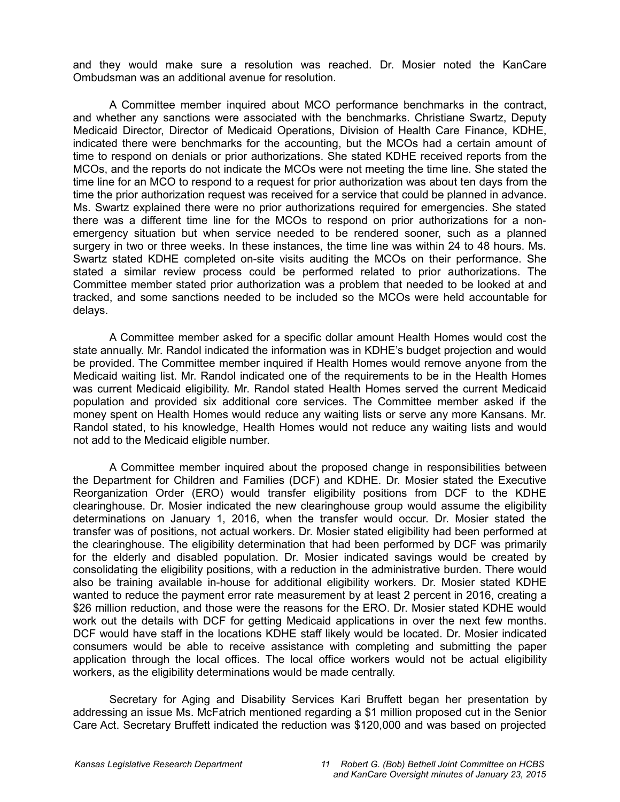and they would make sure a resolution was reached. Dr. Mosier noted the KanCare Ombudsman was an additional avenue for resolution.

A Committee member inquired about MCO performance benchmarks in the contract, and whether any sanctions were associated with the benchmarks. Christiane Swartz, Deputy Medicaid Director, Director of Medicaid Operations, Division of Health Care Finance, KDHE, indicated there were benchmarks for the accounting, but the MCOs had a certain amount of time to respond on denials or prior authorizations. She stated KDHE received reports from the MCOs, and the reports do not indicate the MCOs were not meeting the time line. She stated the time line for an MCO to respond to a request for prior authorization was about ten days from the time the prior authorization request was received for a service that could be planned in advance. Ms. Swartz explained there were no prior authorizations required for emergencies. She stated there was a different time line for the MCOs to respond on prior authorizations for a nonemergency situation but when service needed to be rendered sooner, such as a planned surgery in two or three weeks. In these instances, the time line was within 24 to 48 hours. Ms. Swartz stated KDHE completed on-site visits auditing the MCOs on their performance. She stated a similar review process could be performed related to prior authorizations. The Committee member stated prior authorization was a problem that needed to be looked at and tracked, and some sanctions needed to be included so the MCOs were held accountable for delays.

A Committee member asked for a specific dollar amount Health Homes would cost the state annually. Mr. Randol indicated the information was in KDHE's budget projection and would be provided. The Committee member inquired if Health Homes would remove anyone from the Medicaid waiting list. Mr. Randol indicated one of the requirements to be in the Health Homes was current Medicaid eligibility. Mr. Randol stated Health Homes served the current Medicaid population and provided six additional core services. The Committee member asked if the money spent on Health Homes would reduce any waiting lists or serve any more Kansans. Mr. Randol stated, to his knowledge, Health Homes would not reduce any waiting lists and would not add to the Medicaid eligible number.

A Committee member inquired about the proposed change in responsibilities between the Department for Children and Families (DCF) and KDHE. Dr. Mosier stated the Executive Reorganization Order (ERO) would transfer eligibility positions from DCF to the KDHE clearinghouse. Dr. Mosier indicated the new clearinghouse group would assume the eligibility determinations on January 1, 2016, when the transfer would occur. Dr. Mosier stated the transfer was of positions, not actual workers. Dr. Mosier stated eligibility had been performed at the clearinghouse. The eligibility determination that had been performed by DCF was primarily for the elderly and disabled population. Dr. Mosier indicated savings would be created by consolidating the eligibility positions, with a reduction in the administrative burden. There would also be training available in-house for additional eligibility workers. Dr. Mosier stated KDHE wanted to reduce the payment error rate measurement by at least 2 percent in 2016, creating a \$26 million reduction, and those were the reasons for the ERO. Dr. Mosier stated KDHE would work out the details with DCF for getting Medicaid applications in over the next few months. DCF would have staff in the locations KDHE staff likely would be located. Dr. Mosier indicated consumers would be able to receive assistance with completing and submitting the paper application through the local offices. The local office workers would not be actual eligibility workers, as the eligibility determinations would be made centrally.

Secretary for Aging and Disability Services Kari Bruffett began her presentation by addressing an issue Ms. McFatrich mentioned regarding a \$1 million proposed cut in the Senior Care Act. Secretary Bruffett indicated the reduction was \$120,000 and was based on projected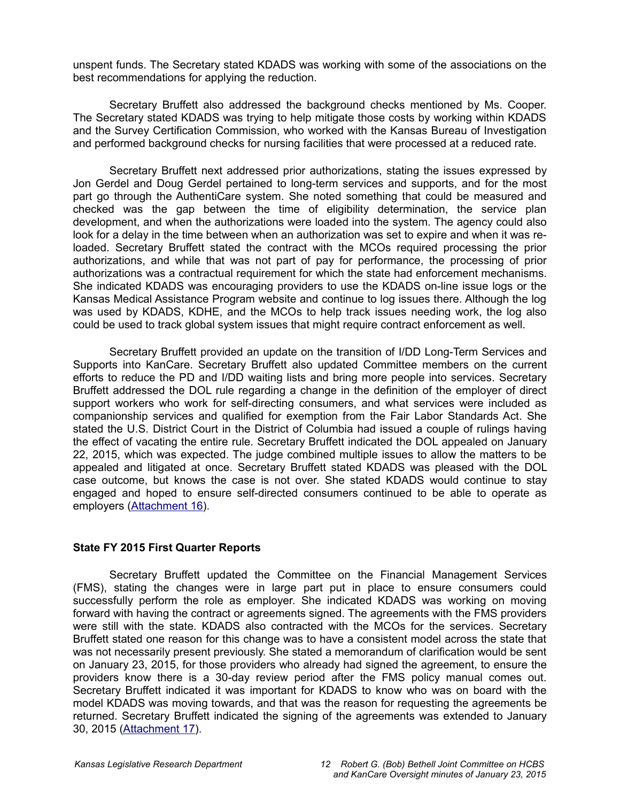unspent funds. The Secretary stated KDADS was working with some of the associations on the best recommendations for applying the reduction.

Secretary Bruffett also addressed the background checks mentioned by Ms. Cooper. The Secretary stated KDADS was trying to help mitigate those costs by working within KDADS and the Survey Certification Commission, who worked with the Kansas Bureau of Investigation and performed background checks for nursing facilities that were processed at a reduced rate.

Secretary Bruffett next addressed prior authorizations, stating the issues expressed by Jon Gerdel and Doug Gerdel pertained to long-term services and supports, and for the most part go through the AuthentiCare system. She noted something that could be measured and checked was the gap between the time of eligibility determination, the service plan development, and when the authorizations were loaded into the system. The agency could also look for a delay in the time between when an authorization was set to expire and when it was reloaded. Secretary Bruffett stated the contract with the MCOs required processing the prior authorizations, and while that was not part of pay for performance, the processing of prior authorizations was a contractual requirement for which the state had enforcement mechanisms. She indicated KDADS was encouraging providers to use the KDADS on-line issue logs or the Kansas Medical Assistance Program website and continue to log issues there. Although the log was used by KDADS, KDHE, and the MCOs to help track issues needing work, the log also could be used to track global system issues that might require contract enforcement as well.

Secretary Bruffett provided an update on the transition of I/DD Long-Term Services and Supports into KanCare. Secretary Bruffett also updated Committee members on the current efforts to reduce the PD and I/DD waiting lists and bring more people into services. Secretary Bruffett addressed the DOL rule regarding a change in the definition of the employer of direct support workers who work for self-directing consumers, and what services were included as companionship services and qualified for exemption from the Fair Labor Standards Act. She stated the U.S. District Court in the District of Columbia had issued a couple of rulings having the effect of vacating the entire rule. Secretary Bruffett indicated the DOL appealed on January 22, 2015, which was expected. The judge combined multiple issues to allow the matters to be appealed and litigated at once. Secretary Bruffett stated KDADS was pleased with the DOL case outcome, but knows the case is not over. She stated KDADS would continue to stay engaged and hoped to ensure self-directed consumers continued to be able to operate as employers [\(Attachment 16](http://li.kliss.loc/li/b2015_16/committees/ctte_jt_robert_g_bob_bethell_joint_committee_1/documents/testimony/20150123_15.pdf)[\).](http://cs.kliss.loc/cs/download_wrapped_file/other_committees/ctte_jt_robert_g_bob_bethell_joint_committee_1/testimony/.uploads/ctte_jt_robert_g_bob_bethell_joint_committee_1_20150123_15_testimony.html)

#### **State FY 2015 First Quarter Reports**

Secretary Bruffett updated the Committee on the Financial Management Services (FMS), stating the changes were in large part put in place to ensure consumers could successfully perform the role as employer. She indicated KDADS was working on moving forward with having the contract or agreements signed. The agreements with the FMS providers were still with the state. KDADS also contracted with the MCOs for the services. Secretary Bruffett stated one reason for this change was to have a consistent model across the state that was not necessarily present previously. She stated a memorandum of clarification would be sent on January 23, 2015, for those providers who already had signed the agreement, to ensure the providers know there is a 30-day review period after the FMS policy manual comes out. Secretary Bruffett indicated it was important for KDADS to know who was on board with the model KDADS was moving towards, and that was the reason for requesting the agreements be returned. Secretary Bruffett indicated the signing of the agreements was extended to January 30, 2015 [\(Attachment 17\)](http://li.kliss.loc/li/b2015_16/committees/ctte_jt_robert_g_bob_bethell_joint_committee_1/documents/testimony/20150123_16.pdf)[.](http://cs.kliss.loc/cs/download_wrapped_file/other_committees/ctte_jt_robert_g_bob_bethell_joint_committee_1/testimony/.uploads/ctte_jt_robert_g_bob_bethell_joint_committee_1_20150123_16_testimony.html)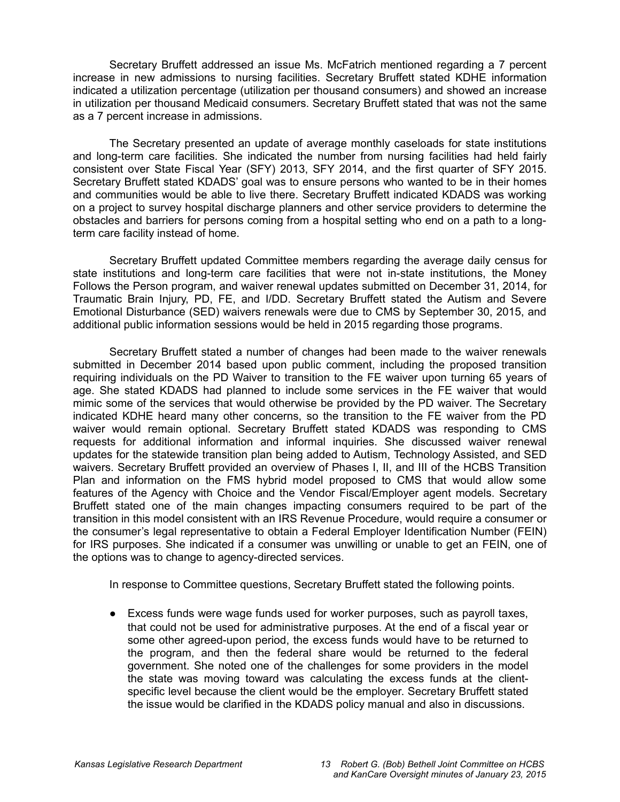Secretary Bruffett addressed an issue Ms. McFatrich mentioned regarding a 7 percent increase in new admissions to nursing facilities. Secretary Bruffett stated KDHE information indicated a utilization percentage (utilization per thousand consumers) and showed an increase in utilization per thousand Medicaid consumers. Secretary Bruffett stated that was not the same as a 7 percent increase in admissions.

The Secretary presented an update of average monthly caseloads for state institutions and long-term care facilities. She indicated the number from nursing facilities had held fairly consistent over State Fiscal Year (SFY) 2013, SFY 2014, and the first quarter of SFY 2015. Secretary Bruffett stated KDADS' goal was to ensure persons who wanted to be in their homes and communities would be able to live there. Secretary Bruffett indicated KDADS was working on a project to survey hospital discharge planners and other service providers to determine the obstacles and barriers for persons coming from a hospital setting who end on a path to a longterm care facility instead of home.

Secretary Bruffett updated Committee members regarding the average daily census for state institutions and long-term care facilities that were not in-state institutions, the Money Follows the Person program, and waiver renewal updates submitted on December 31, 2014, for Traumatic Brain Injury, PD, FE, and I/DD. Secretary Bruffett stated the Autism and Severe Emotional Disturbance (SED) waivers renewals were due to CMS by September 30, 2015, and additional public information sessions would be held in 2015 regarding those programs.

Secretary Bruffett stated a number of changes had been made to the waiver renewals submitted in December 2014 based upon public comment, including the proposed transition requiring individuals on the PD Waiver to transition to the FE waiver upon turning 65 years of age. She stated KDADS had planned to include some services in the FE waiver that would mimic some of the services that would otherwise be provided by the PD waiver. The Secretary indicated KDHE heard many other concerns, so the transition to the FE waiver from the PD waiver would remain optional. Secretary Bruffett stated KDADS was responding to CMS requests for additional information and informal inquiries. She discussed waiver renewal updates for the statewide transition plan being added to Autism, Technology Assisted, and SED waivers. Secretary Bruffett provided an overview of Phases I, II, and III of the HCBS Transition Plan and information on the FMS hybrid model proposed to CMS that would allow some features of the Agency with Choice and the Vendor Fiscal/Employer agent models. Secretary Bruffett stated one of the main changes impacting consumers required to be part of the transition in this model consistent with an IRS Revenue Procedure, would require a consumer or the consumer's legal representative to obtain a Federal Employer Identification Number (FEIN) for IRS purposes. She indicated if a consumer was unwilling or unable to get an FEIN, one of the options was to change to agency-directed services.

In response to Committee questions, Secretary Bruffett stated the following points.

● Excess funds were wage funds used for worker purposes, such as payroll taxes, that could not be used for administrative purposes. At the end of a fiscal year or some other agreed-upon period, the excess funds would have to be returned to the program, and then the federal share would be returned to the federal government. She noted one of the challenges for some providers in the model the state was moving toward was calculating the excess funds at the clientspecific level because the client would be the employer. Secretary Bruffett stated the issue would be clarified in the KDADS policy manual and also in discussions.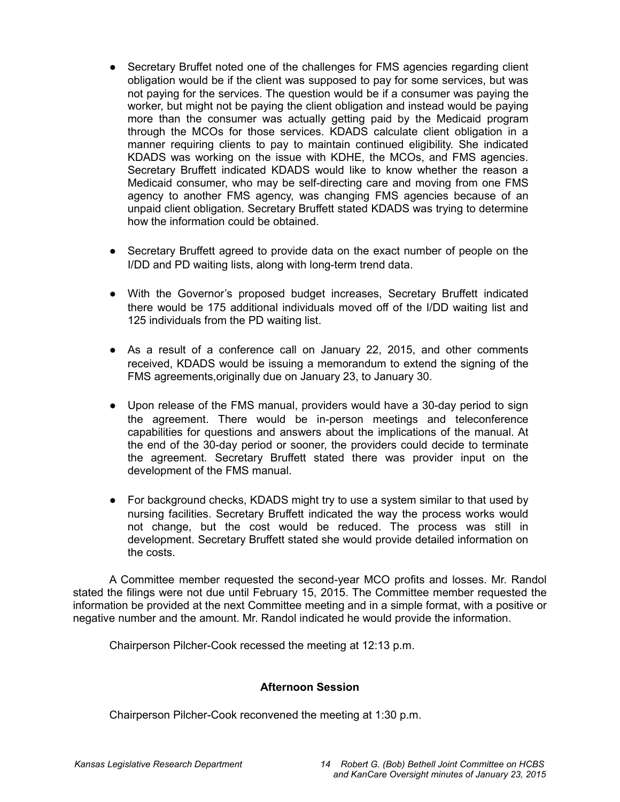- Secretary Bruffet noted one of the challenges for FMS agencies regarding client obligation would be if the client was supposed to pay for some services, but was not paying for the services. The question would be if a consumer was paying the worker, but might not be paying the client obligation and instead would be paying more than the consumer was actually getting paid by the Medicaid program through the MCOs for those services. KDADS calculate client obligation in a manner requiring clients to pay to maintain continued eligibility. She indicated KDADS was working on the issue with KDHE, the MCOs, and FMS agencies. Secretary Bruffett indicated KDADS would like to know whether the reason a Medicaid consumer, who may be self-directing care and moving from one FMS agency to another FMS agency, was changing FMS agencies because of an unpaid client obligation. Secretary Bruffett stated KDADS was trying to determine how the information could be obtained.
- Secretary Bruffett agreed to provide data on the exact number of people on the I/DD and PD waiting lists, along with long-term trend data.
- With the Governor's proposed budget increases, Secretary Bruffett indicated there would be 175 additional individuals moved off of the I/DD waiting list and 125 individuals from the PD waiting list.
- As a result of a conference call on January 22, 2015, and other comments received, KDADS would be issuing a memorandum to extend the signing of the FMS agreements,originally due on January 23, to January 30.
- Upon release of the FMS manual, providers would have a 30-day period to sign the agreement. There would be in-person meetings and teleconference capabilities for questions and answers about the implications of the manual. At the end of the 30-day period or sooner, the providers could decide to terminate the agreement. Secretary Bruffett stated there was provider input on the development of the FMS manual.
- For background checks, KDADS might try to use a system similar to that used by nursing facilities. Secretary Bruffett indicated the way the process works would not change, but the cost would be reduced. The process was still in development. Secretary Bruffett stated she would provide detailed information on the costs.

A Committee member requested the second-year MCO profits and losses. Mr. Randol stated the filings were not due until February 15, 2015. The Committee member requested the information be provided at the next Committee meeting and in a simple format, with a positive or negative number and the amount. Mr. Randol indicated he would provide the information.

Chairperson Pilcher-Cook recessed the meeting at 12:13 p.m.

## **Afternoon Session**

Chairperson Pilcher-Cook reconvened the meeting at 1:30 p.m.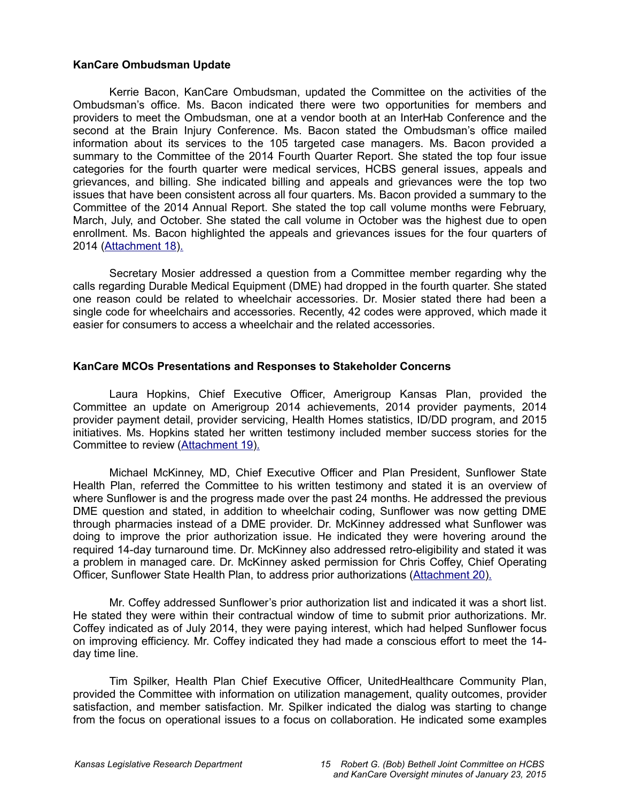#### **KanCare Ombudsman Update**

Kerrie Bacon, KanCare Ombudsman, updated the Committee on the activities of the Ombudsman's office. Ms. Bacon indicated there were two opportunities for members and providers to meet the Ombudsman, one at a vendor booth at an InterHab Conference and the second at the Brain Injury Conference. Ms. Bacon stated the Ombudsman's office mailed information about its services to the 105 targeted case managers. Ms. Bacon provided a summary to the Committee of the 2014 Fourth Quarter Report. She stated the top four issue categories for the fourth quarter were medical services, HCBS general issues, appeals and grievances, and billing. She indicated billing and appeals and grievances were the top two issues that have been consistent across all four quarters. Ms. Bacon provided a summary to the Committee of the 2014 Annual Report. She stated the top call volume months were February, March, July, and October. She stated the call volume in October was the highest due to open enrollment. Ms. Bacon highlighted the appeals and grievances issues for the four quarters of 2014 [\(Attachment 18](http://li.kliss.loc/li/b2015_16/committees/ctte_jt_robert_g_bob_bethell_joint_committee_1/documents/testimony/20150123_17.pdf)[\).](http://cs.kliss.loc/cs/download_wrapped_file/other_committees/ctte_jt_robert_g_bob_bethell_joint_committee_1/testimony/.uploads/ctte_jt_robert_g_bob_bethell_joint_committee_1_20150123_17_testimony.html)

Secretary Mosier addressed a question from a Committee member regarding why the calls regarding Durable Medical Equipment (DME) had dropped in the fourth quarter. She stated one reason could be related to wheelchair accessories. Dr. Mosier stated there had been a single code for wheelchairs and accessories. Recently, 42 codes were approved, which made it easier for consumers to access a wheelchair and the related accessories.

### **KanCare MCOs Presentations and Responses to Stakeholder Concerns**

Laura Hopkins, Chief Executive Officer, Amerigroup Kansas Plan, provided the Committee an update on Amerigroup 2014 achievements, 2014 provider payments, 2014 provider payment detail, provider servicing, Health Homes statistics, ID/DD program, and 2015 initiatives. Ms. Hopkins stated her written testimony included member success stories for the Committee to review [\(Attachment 19\)](http://li.kliss.loc/li/b2015_16/committees/ctte_jt_robert_g_bob_bethell_joint_committee_1/documents/testimony/20150123_23.pdf)[.](http://cs.kliss.loc/cs/download_wrapped_file/other_committees/ctte_jt_robert_g_bob_bethell_joint_committee_1/testimony/.uploads/ctte_jt_robert_g_bob_bethell_joint_committee_1_20150123_23_testimony.html)

Michael McKinney, MD, Chief Executive Officer and Plan President, Sunflower State Health Plan, referred the Committee to his written testimony and stated it is an overview of where Sunflower is and the progress made over the past 24 months. He addressed the previous DME question and stated, in addition to wheelchair coding, Sunflower was now getting DME through pharmacies instead of a DME provider. Dr. McKinney addressed what Sunflower was doing to improve the prior authorization issue. He indicated they were hovering around the required 14-day turnaround time. Dr. McKinney also addressed retro-eligibility and stated it was a problem in managed care. Dr. McKinney asked permission for Chris Coffey, Chief Operating Officer, Sunflower State Health Plan, to address prior authorizations [\(Attachment 20](http://li.kliss.loc/li/b2015_16/committees/ctte_jt_robert_g_bob_bethell_joint_committee_1/documents/testimony/20150123_19.pdf)[\).](http://cs.kliss.loc/cs/download_wrapped_file/other_committees/ctte_jt_robert_g_bob_bethell_joint_committee_1/testimony/.uploads/ctte_jt_robert_g_bob_bethell_joint_committee_1_20150123_19_testimony.html)

Mr. Coffey addressed Sunflower's prior authorization list and indicated it was a short list. He stated they were within their contractual window of time to submit prior authorizations. Mr. Coffey indicated as of July 2014, they were paying interest, which had helped Sunflower focus on improving efficiency. Mr. Coffey indicated they had made a conscious effort to meet the 14 day time line.

Tim Spilker, Health Plan Chief Executive Officer, UnitedHealthcare Community Plan, provided the Committee with information on utilization management, quality outcomes, provider satisfaction, and member satisfaction. Mr. Spilker indicated the dialog was starting to change from the focus on operational issues to a focus on collaboration. He indicated some examples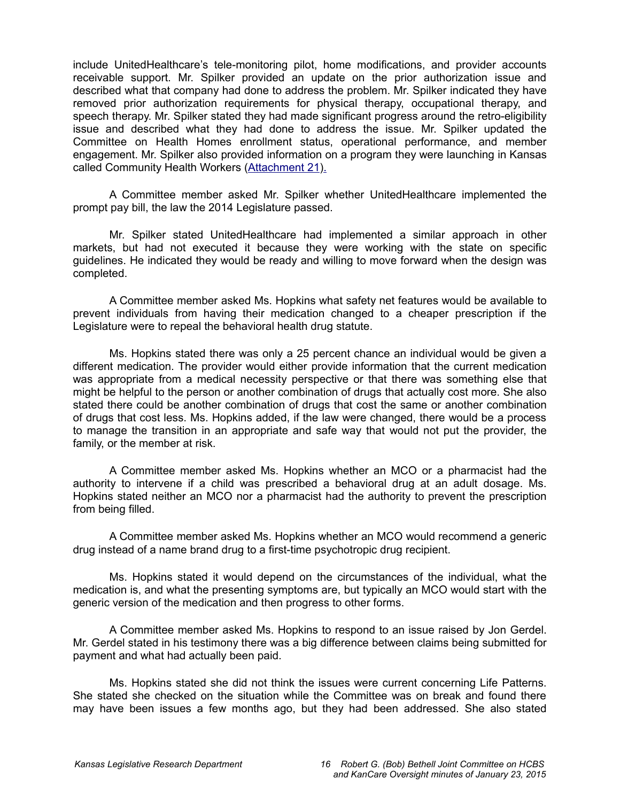include UnitedHealthcare's tele-monitoring pilot, home modifications, and provider accounts receivable support. Mr. Spilker provided an update on the prior authorization issue and described what that company had done to address the problem. Mr. Spilker indicated they have removed prior authorization requirements for physical therapy, occupational therapy, and speech therapy. Mr. Spilker stated they had made significant progress around the retro-eligibility issue and described what they had done to address the issue. Mr. Spilker updated the Committee on Health Homes enrollment status, operational performance, and member engagement. Mr. Spilker also provided information on a program they were launching in Kansas called Community Health Workers [\(Attachment 21\)](http://li.kliss.loc/li/b2015_16/committees/ctte_jt_robert_g_bob_bethell_joint_committee_1/documents/testimony/20150123_24.pdf)[.](http://cs.kliss.loc/cs/download_wrapped_file/other_committees/ctte_jt_robert_g_bob_bethell_joint_committee_1/testimony/.uploads/ctte_jt_robert_g_bob_bethell_joint_committee_1_20150123_20_testimony.html)

A Committee member asked Mr. Spilker whether UnitedHealthcare implemented the prompt pay bill, the law the 2014 Legislature passed.

Mr. Spilker stated UnitedHealthcare had implemented a similar approach in other markets, but had not executed it because they were working with the state on specific guidelines. He indicated they would be ready and willing to move forward when the design was completed.

A Committee member asked Ms. Hopkins what safety net features would be available to prevent individuals from having their medication changed to a cheaper prescription if the Legislature were to repeal the behavioral health drug statute.

Ms. Hopkins stated there was only a 25 percent chance an individual would be given a different medication. The provider would either provide information that the current medication was appropriate from a medical necessity perspective or that there was something else that might be helpful to the person or another combination of drugs that actually cost more. She also stated there could be another combination of drugs that cost the same or another combination of drugs that cost less. Ms. Hopkins added, if the law were changed, there would be a process to manage the transition in an appropriate and safe way that would not put the provider, the family, or the member at risk.

A Committee member asked Ms. Hopkins whether an MCO or a pharmacist had the authority to intervene if a child was prescribed a behavioral drug at an adult dosage. Ms. Hopkins stated neither an MCO nor a pharmacist had the authority to prevent the prescription from being filled.

A Committee member asked Ms. Hopkins whether an MCO would recommend a generic drug instead of a name brand drug to a first-time psychotropic drug recipient.

Ms. Hopkins stated it would depend on the circumstances of the individual, what the medication is, and what the presenting symptoms are, but typically an MCO would start with the generic version of the medication and then progress to other forms.

A Committee member asked Ms. Hopkins to respond to an issue raised by Jon Gerdel. Mr. Gerdel stated in his testimony there was a big difference between claims being submitted for payment and what had actually been paid.

Ms. Hopkins stated she did not think the issues were current concerning Life Patterns. She stated she checked on the situation while the Committee was on break and found there may have been issues a few months ago, but they had been addressed. She also stated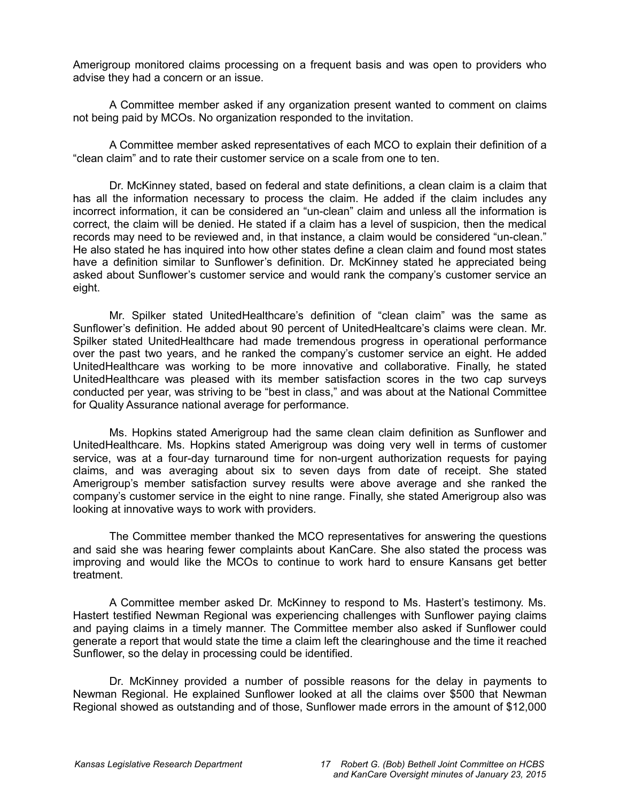Amerigroup monitored claims processing on a frequent basis and was open to providers who advise they had a concern or an issue.

A Committee member asked if any organization present wanted to comment on claims not being paid by MCOs. No organization responded to the invitation.

A Committee member asked representatives of each MCO to explain their definition of a "clean claim" and to rate their customer service on a scale from one to ten.

Dr. McKinney stated, based on federal and state definitions, a clean claim is a claim that has all the information necessary to process the claim. He added if the claim includes any incorrect information, it can be considered an "un-clean" claim and unless all the information is correct, the claim will be denied. He stated if a claim has a level of suspicion, then the medical records may need to be reviewed and, in that instance, a claim would be considered "un-clean." He also stated he has inquired into how other states define a clean claim and found most states have a definition similar to Sunflower's definition. Dr. McKinney stated he appreciated being asked about Sunflower's customer service and would rank the company's customer service an eight.

Mr. Spilker stated UnitedHealthcare's definition of "clean claim" was the same as Sunflower's definition. He added about 90 percent of UnitedHealtcare's claims were clean. Mr. Spilker stated UnitedHealthcare had made tremendous progress in operational performance over the past two years, and he ranked the company's customer service an eight. He added UnitedHealthcare was working to be more innovative and collaborative. Finally, he stated UnitedHealthcare was pleased with its member satisfaction scores in the two cap surveys conducted per year, was striving to be "best in class," and was about at the National Committee for Quality Assurance national average for performance.

Ms. Hopkins stated Amerigroup had the same clean claim definition as Sunflower and UnitedHealthcare. Ms. Hopkins stated Amerigroup was doing very well in terms of customer service, was at a four-day turnaround time for non-urgent authorization requests for paying claims, and was averaging about six to seven days from date of receipt. She stated Amerigroup's member satisfaction survey results were above average and she ranked the company's customer service in the eight to nine range. Finally, she stated Amerigroup also was looking at innovative ways to work with providers.

The Committee member thanked the MCO representatives for answering the questions and said she was hearing fewer complaints about KanCare. She also stated the process was improving and would like the MCOs to continue to work hard to ensure Kansans get better treatment.

A Committee member asked Dr. McKinney to respond to Ms. Hastert's testimony. Ms. Hastert testified Newman Regional was experiencing challenges with Sunflower paying claims and paying claims in a timely manner. The Committee member also asked if Sunflower could generate a report that would state the time a claim left the clearinghouse and the time it reached Sunflower, so the delay in processing could be identified.

Dr. McKinney provided a number of possible reasons for the delay in payments to Newman Regional. He explained Sunflower looked at all the claims over \$500 that Newman Regional showed as outstanding and of those, Sunflower made errors in the amount of \$12,000